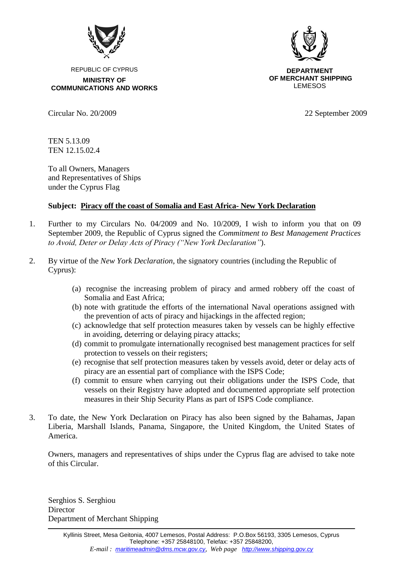

REPUBLIC OF CYPRUS **MINISTRY OF COMMUNICATIONS AND WORKS**



**DEPARTMENT OF MERCHANT SHIPPING** LEMESOS

Circular No. 20/2009 22 September 2009

TEN 5.13.09 ΤΕΝ 12.15.02.4

To all Owners, Managers and Representatives of Ships under the Cyprus Flag

## **Subject: Piracy off the coast of Somalia and East Africa- New York Declaration**

- 1. Further to my Circulars No. 04/2009 and No. 10/2009, I wish to inform you that on 09 September 2009, the Republic of Cyprus signed the *Commitment to Best Management Practices to Avoid, Deter or Delay Acts of Piracy ("New York Declaration"*).
- 2. By virtue of the *New York Declaration*, the signatory countries (including the Republic of Cyprus):
	- (a) recognise the increasing problem of piracy and armed robbery off the coast of Somalia and East Africa;
	- (b) note with gratitude the efforts of the international Naval operations assigned with the prevention of acts of piracy and hijackings in the affected region;
	- (c) acknowledge that self protection measures taken by vessels can be highly effective in avoiding, deterring or delaying piracy attacks;
	- (d) commit to promulgate internationally recognised best management practices for self protection to vessels on their registers;
	- (e) recognise that self protection measures taken by vessels avoid, deter or delay acts of piracy are an essential part of compliance with the ISPS Code;
	- (f) commit to ensure when carrying out their obligations under the ISPS Code, that vessels on their Registry have adopted and documented appropriate self protection measures in their Ship Security Plans as part of ISPS Code compliance.
- 3. To date, the New York Declaration on Piracy has also been signed by the Bahamas, Japan Liberia, Marshall Islands, Panama, Singapore, the United Kingdom, the United States of America.

Owners, managers and representatives of ships under the Cyprus flag are advised to take note of this Circular.

Serghios S. Serghiou **Director** Department of Merchant Shipping